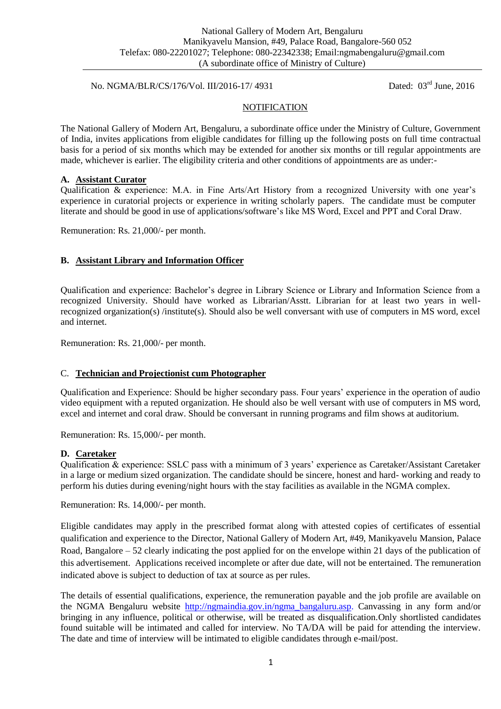### No. NGMA/BLR/CS/176/Vol. III/2016-17/ 4931 Dated: 03<sup>rd</sup> June, 2016

## **NOTIFICATION**

The National Gallery of Modern Art, Bengaluru, a subordinate office under the Ministry of Culture, Government of India, invites applications from eligible candidates for filling up the following posts on full time contractual basis for a period of six months which may be extended for another six months or till regular appointments are made, whichever is earlier. The eligibility criteria and other conditions of appointments are as under:-

#### **A. Assistant Curator**

Qualification & experience: M.A. in Fine Arts/Art History from a recognized University with one year's experience in curatorial projects or experience in writing scholarly papers. The candidate must be computer literate and should be good in use of applications/software's like MS Word, Excel and PPT and Coral Draw.

Remuneration: Rs. 21,000/- per month.

#### **B. Assistant Library and Information Officer**

Qualification and experience: Bachelor's degree in Library Science or Library and Information Science from a recognized University. Should have worked as Librarian/Asstt. Librarian for at least two years in wellrecognized organization(s) /institute(s). Should also be well conversant with use of computers in MS word, excel and internet.

Remuneration: Rs. 21,000/- per month.

#### C. **Technician and Projectionist cum Photographer**

Qualification and Experience: Should be higher secondary pass. Four years' experience in the operation of audio video equipment with a reputed organization. He should also be well versant with use of computers in MS word, excel and internet and coral draw. Should be conversant in running programs and film shows at auditorium.

Remuneration: Rs. 15,000/- per month.

#### **D. Caretaker**

Qualification & experience: SSLC pass with a minimum of 3 years' experience as Caretaker/Assistant Caretaker in a large or medium sized organization. The candidate should be sincere, honest and hard- working and ready to perform his duties during evening/night hours with the stay facilities as available in the NGMA complex.

Remuneration: Rs. 14,000/- per month.

Eligible candidates may apply in the prescribed format along with attested copies of certificates of essential qualification and experience to the Director, National Gallery of Modern Art, #49, Manikyavelu Mansion, Palace Road, Bangalore – 52 clearly indicating the post applied for on the envelope within 21 days of the publication of this advertisement. Applications received incomplete or after due date, will not be entertained. The remuneration indicated above is subject to deduction of tax at source as per rules.

The details of essential qualifications, experience, the remuneration payable and the job profile are available on the NGMA Bengaluru website [http://ngmaindia.gov.in/ngma\\_bangaluru.asp.](http://ngmaindia.gov.in/ngma_bangaluru.asp) Canvassing in any form and/or bringing in any influence, political or otherwise, will be treated as disqualification.Only shortlisted candidates found suitable will be intimated and called for interview. No TA/DA will be paid for attending the interview. The date and time of interview will be intimated to eligible candidates through e-mail/post.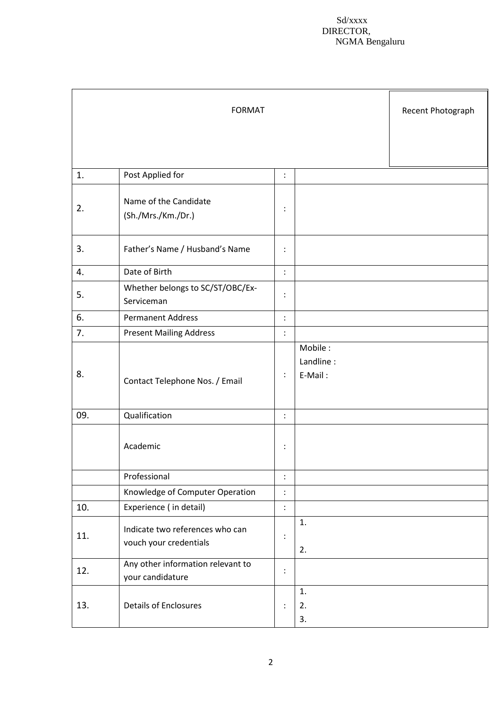#### Sd/xxxx DIRECTOR, NGMA Bengaluru

|     | <b>FORMAT</b>                                             |                |                                 | Recent Photograph |
|-----|-----------------------------------------------------------|----------------|---------------------------------|-------------------|
| 1.  | Post Applied for                                          | $\vdots$       |                                 |                   |
| 2.  | Name of the Candidate<br>(Sh./Mrs./Km./Dr.)               | $\ddot{\cdot}$ |                                 |                   |
| 3.  | Father's Name / Husband's Name                            |                |                                 |                   |
| 4.  | Date of Birth                                             |                |                                 |                   |
| 5.  | Whether belongs to SC/ST/OBC/Ex-<br>Serviceman            | $\vdots$       |                                 |                   |
| 6.  | <b>Permanent Address</b>                                  | $\ddot{\cdot}$ |                                 |                   |
| 7.  | <b>Present Mailing Address</b>                            | $\ddot{\cdot}$ |                                 |                   |
| 8.  | Contact Telephone Nos. / Email                            | $\vdots$       | Mobile:<br>Landline:<br>E-Mail: |                   |
| 09. | Qualification                                             | $\ddot{\cdot}$ |                                 |                   |
|     | Academic                                                  | $\ddot{\cdot}$ |                                 |                   |
|     | Professional                                              | $\vdots$       |                                 |                   |
|     | Knowledge of Computer Operation                           | $\vdots$       |                                 |                   |
| 10. | Experience (in detail)                                    | $\vdots$       |                                 |                   |
| 11. | Indicate two references who can<br>vouch your credentials | $\vdots$       | 1.<br>2.                        |                   |
| 12. | Any other information relevant to<br>your candidature     | $\vdots$       |                                 |                   |
| 13. | <b>Details of Enclosures</b>                              | $\ddot{\cdot}$ | 1.<br>2.<br>3.                  |                   |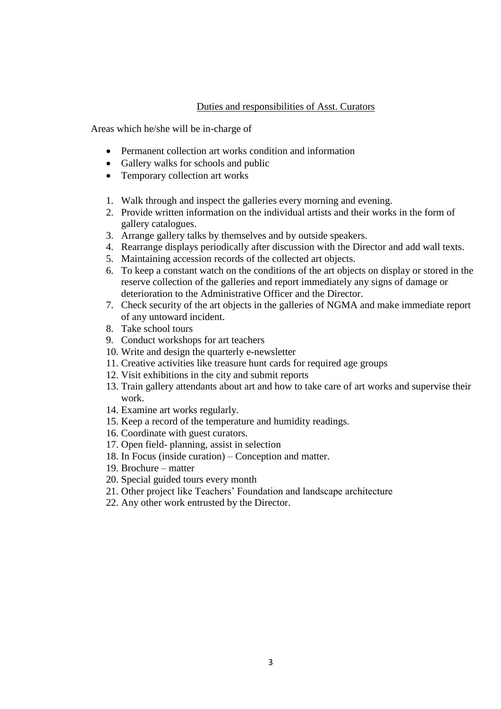### Duties and responsibilities of Asst. Curators

Areas which he/she will be in-charge of

- Permanent collection art works condition and information
- Gallery walks for schools and public
- Temporary collection art works
- 1. Walk through and inspect the galleries every morning and evening.
- 2. Provide written information on the individual artists and their works in the form of gallery catalogues.
- 3. Arrange gallery talks by themselves and by outside speakers.
- 4. Rearrange displays periodically after discussion with the Director and add wall texts.
- 5. Maintaining accession records of the collected art objects.
- 6. To keep a constant watch on the conditions of the art objects on display or stored in the reserve collection of the galleries and report immediately any signs of damage or deterioration to the Administrative Officer and the Director.
- 7. Check security of the art objects in the galleries of NGMA and make immediate report of any untoward incident.
- 8. Take school tours
- 9. Conduct workshops for art teachers
- 10. Write and design the quarterly e-newsletter
- 11. Creative activities like treasure hunt cards for required age groups
- 12. Visit exhibitions in the city and submit reports
- 13. Train gallery attendants about art and how to take care of art works and supervise their work.
- 14. Examine art works regularly.
- 15. Keep a record of the temperature and humidity readings.
- 16. Coordinate with guest curators.
- 17. Open field- planning, assist in selection
- 18. In Focus (inside curation) Conception and matter.
- 19. Brochure matter
- 20. Special guided tours every month
- 21. Other project like Teachers' Foundation and landscape architecture
- 22. Any other work entrusted by the Director.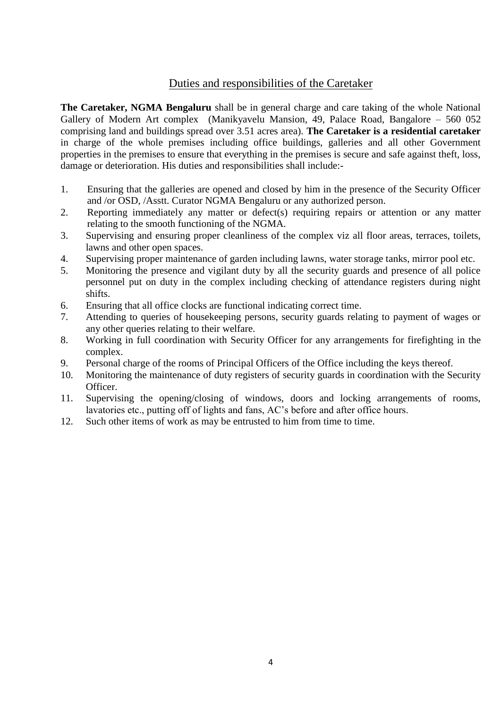# Duties and responsibilities of the Caretaker

**The Caretaker, NGMA Bengaluru** shall be in general charge and care taking of the whole National Gallery of Modern Art complex (Manikyavelu Mansion, 49, Palace Road, Bangalore – 560 052 comprising land and buildings spread over 3.51 acres area). **The Caretaker is a residential caretaker** in charge of the whole premises including office buildings, galleries and all other Government properties in the premises to ensure that everything in the premises is secure and safe against theft, loss, damage or deterioration. His duties and responsibilities shall include:-

- 1. Ensuring that the galleries are opened and closed by him in the presence of the Security Officer and /or OSD, /Asstt. Curator NGMA Bengaluru or any authorized person.
- 2. Reporting immediately any matter or defect(s) requiring repairs or attention or any matter relating to the smooth functioning of the NGMA.
- 3. Supervising and ensuring proper cleanliness of the complex viz all floor areas, terraces, toilets, lawns and other open spaces.
- 4. Supervising proper maintenance of garden including lawns, water storage tanks, mirror pool etc.
- 5. Monitoring the presence and vigilant duty by all the security guards and presence of all police personnel put on duty in the complex including checking of attendance registers during night shifts.
- 6. Ensuring that all office clocks are functional indicating correct time.
- 7. Attending to queries of housekeeping persons, security guards relating to payment of wages or any other queries relating to their welfare.
- 8. Working in full coordination with Security Officer for any arrangements for firefighting in the complex.
- 9. Personal charge of the rooms of Principal Officers of the Office including the keys thereof.
- 10. Monitoring the maintenance of duty registers of security guards in coordination with the Security Officer.
- 11. Supervising the opening/closing of windows, doors and locking arrangements of rooms, lavatories etc., putting off of lights and fans, AC's before and after office hours.
- 12. Such other items of work as may be entrusted to him from time to time.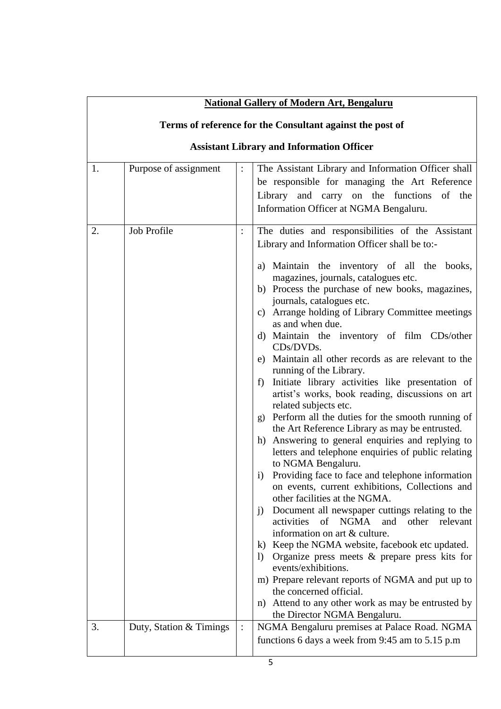|          | <b>National Gallery of Modern Art, Bengaluru</b>          |                      |                                                                                                                                                                                                                                                                                                                                                                                                                                                                                                                                                                                                                                                                                                                                                                                                                                                                                                                                                                                                                                                                                                                                                                                                                                                                                                                                                                                                                                                            |  |  |  |
|----------|-----------------------------------------------------------|----------------------|------------------------------------------------------------------------------------------------------------------------------------------------------------------------------------------------------------------------------------------------------------------------------------------------------------------------------------------------------------------------------------------------------------------------------------------------------------------------------------------------------------------------------------------------------------------------------------------------------------------------------------------------------------------------------------------------------------------------------------------------------------------------------------------------------------------------------------------------------------------------------------------------------------------------------------------------------------------------------------------------------------------------------------------------------------------------------------------------------------------------------------------------------------------------------------------------------------------------------------------------------------------------------------------------------------------------------------------------------------------------------------------------------------------------------------------------------------|--|--|--|
|          | Terms of reference for the Consultant against the post of |                      |                                                                                                                                                                                                                                                                                                                                                                                                                                                                                                                                                                                                                                                                                                                                                                                                                                                                                                                                                                                                                                                                                                                                                                                                                                                                                                                                                                                                                                                            |  |  |  |
|          | <b>Assistant Library and Information Officer</b>          |                      |                                                                                                                                                                                                                                                                                                                                                                                                                                                                                                                                                                                                                                                                                                                                                                                                                                                                                                                                                                                                                                                                                                                                                                                                                                                                                                                                                                                                                                                            |  |  |  |
| 1.<br>2. | Purpose of assignment<br>Job Profile                      | $\vdots$<br>$\vdots$ | The Assistant Library and Information Officer shall<br>be responsible for managing the Art Reference<br>Library and carry on the functions of the<br>Information Officer at NGMA Bengaluru.<br>The duties and responsibilities of the Assistant                                                                                                                                                                                                                                                                                                                                                                                                                                                                                                                                                                                                                                                                                                                                                                                                                                                                                                                                                                                                                                                                                                                                                                                                            |  |  |  |
|          |                                                           |                      | Library and Information Officer shall be to:-<br>a) Maintain the inventory of all the books,<br>magazines, journals, catalogues etc.<br>b) Process the purchase of new books, magazines,<br>journals, catalogues etc.<br>Arrange holding of Library Committee meetings<br>C)<br>as and when due.<br>d) Maintain the inventory of film CDs/other<br>CDs/DVDs.<br>e) Maintain all other records as are relevant to the<br>running of the Library.<br>Initiate library activities like presentation of<br>f)<br>artist's works, book reading, discussions on art<br>related subjects etc.<br>g) Perform all the duties for the smooth running of<br>the Art Reference Library as may be entrusted.<br>Answering to general enquiries and replying to<br>h)<br>letters and telephone enquiries of public relating<br>to NGMA Bengaluru.<br>Providing face to face and telephone information<br>1)<br>on events, current exhibitions, Collections and<br>other facilities at the NGMA.<br>Document all newspaper cuttings relating to the<br>$\mathbf{j}$<br>NGMA<br>activities<br>of<br>and other<br>relevant<br>information on art & culture.<br>k) Keep the NGMA website, facebook etc updated.<br>Organize press meets $\&$ prepare press kits for<br>$\Gamma$<br>events/exhibitions.<br>m) Prepare relevant reports of NGMA and put up to<br>the concerned official.<br>n) Attend to any other work as may be entrusted by<br>the Director NGMA Bengaluru. |  |  |  |
| 3.       | Duty, Station & Timings                                   | $\vdots$             | NGMA Bengaluru premises at Palace Road. NGMA<br>functions 6 days a week from 9:45 am to 5.15 p.m                                                                                                                                                                                                                                                                                                                                                                                                                                                                                                                                                                                                                                                                                                                                                                                                                                                                                                                                                                                                                                                                                                                                                                                                                                                                                                                                                           |  |  |  |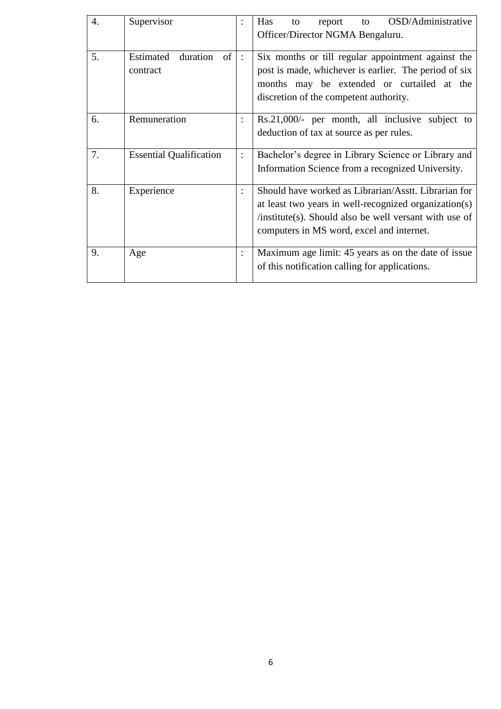| $\overline{4}$ . | Supervisor                              |                | OSD/Administrative<br>Has<br>report<br>to<br>to<br>Officer/Director NGMA Bengaluru.                                                                                                                                     |
|------------------|-----------------------------------------|----------------|-------------------------------------------------------------------------------------------------------------------------------------------------------------------------------------------------------------------------|
| 5.               | duration<br>Estimated<br>of<br>contract | $\ddot{\cdot}$ | Six months or till regular appointment against the<br>post is made, whichever is earlier. The period of six<br>months may be extended or curtailed at the<br>discretion of the competent authority.                     |
| 6.               | Remuneration                            |                | $Rs.21,000/-$ per month, all inclusive subject to<br>deduction of tax at source as per rules.                                                                                                                           |
| 7.               | <b>Essential Qualification</b>          |                | Bachelor's degree in Library Science or Library and<br>Information Science from a recognized University.                                                                                                                |
| 8.               | Experience                              |                | Should have worked as Librarian/Asstt. Librarian for<br>at least two years in well-recognized organization(s)<br>$/$ institute(s). Should also be well versant with use of<br>computers in MS word, excel and internet. |
| 9.               | Age                                     |                | Maximum age limit: 45 years as on the date of issue<br>of this notification calling for applications.                                                                                                                   |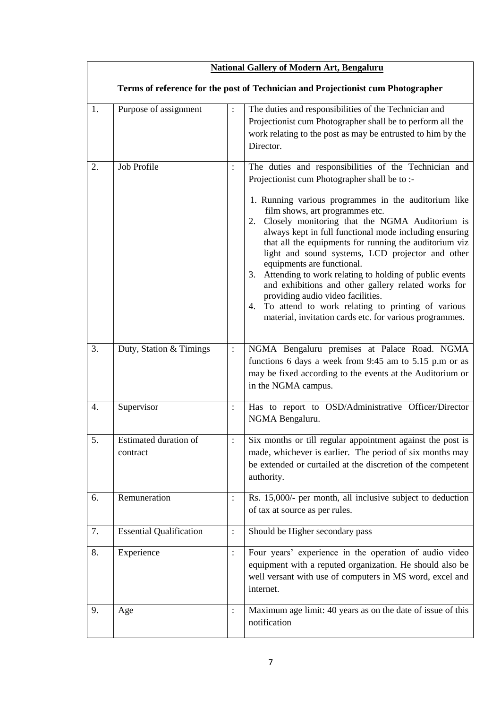| <b>National Gallery of Modern Art, Bengaluru</b>                                 |                                   |                |                                                                                                                                                                                                                                                                                                                                                                                                                                                                                                                                                                                                                                                                                                                                             |  |
|----------------------------------------------------------------------------------|-----------------------------------|----------------|---------------------------------------------------------------------------------------------------------------------------------------------------------------------------------------------------------------------------------------------------------------------------------------------------------------------------------------------------------------------------------------------------------------------------------------------------------------------------------------------------------------------------------------------------------------------------------------------------------------------------------------------------------------------------------------------------------------------------------------------|--|
| Terms of reference for the post of Technician and Projectionist cum Photographer |                                   |                |                                                                                                                                                                                                                                                                                                                                                                                                                                                                                                                                                                                                                                                                                                                                             |  |
| 1.                                                                               | Purpose of assignment             | $\colon$       | The duties and responsibilities of the Technician and<br>Projectionist cum Photographer shall be to perform all the<br>work relating to the post as may be entrusted to him by the<br>Director.                                                                                                                                                                                                                                                                                                                                                                                                                                                                                                                                             |  |
| 2.                                                                               | Job Profile                       | :              | The duties and responsibilities of the Technician and<br>Projectionist cum Photographer shall be to :-<br>1. Running various programmes in the auditorium like<br>film shows, art programmes etc.<br>2. Closely monitoring that the NGMA Auditorium is<br>always kept in full functional mode including ensuring<br>that all the equipments for running the auditorium viz<br>light and sound systems, LCD projector and other<br>equipments are functional.<br>Attending to work relating to holding of public events<br>3.<br>and exhibitions and other gallery related works for<br>providing audio video facilities.<br>4. To attend to work relating to printing of various<br>material, invitation cards etc. for various programmes. |  |
| 3.                                                                               | Duty, Station & Timings           | $\colon$       | NGMA Bengaluru premises at Palace Road. NGMA<br>functions 6 days a week from 9:45 am to 5.15 p.m or as<br>may be fixed according to the events at the Auditorium or<br>in the NGMA campus.                                                                                                                                                                                                                                                                                                                                                                                                                                                                                                                                                  |  |
| 4.                                                                               | Supervisor                        | $\colon$       | Has to report to OSD/Administrative Officer/Director<br>NGMA Bengaluru.                                                                                                                                                                                                                                                                                                                                                                                                                                                                                                                                                                                                                                                                     |  |
| 5.                                                                               | Estimated duration of<br>contract | $\ddot{\cdot}$ | Six months or till regular appointment against the post is<br>made, whichever is earlier. The period of six months may<br>be extended or curtailed at the discretion of the competent<br>authority.                                                                                                                                                                                                                                                                                                                                                                                                                                                                                                                                         |  |
| 6.                                                                               | Remuneration                      | $\ddot{\cdot}$ | Rs. 15,000/- per month, all inclusive subject to deduction<br>of tax at source as per rules.                                                                                                                                                                                                                                                                                                                                                                                                                                                                                                                                                                                                                                                |  |
| 7.                                                                               | <b>Essential Qualification</b>    | $\ddot{\cdot}$ | Should be Higher secondary pass                                                                                                                                                                                                                                                                                                                                                                                                                                                                                                                                                                                                                                                                                                             |  |
| 8.                                                                               | Experience                        | $\colon$       | Four years' experience in the operation of audio video<br>equipment with a reputed organization. He should also be<br>well versant with use of computers in MS word, excel and<br>internet.                                                                                                                                                                                                                                                                                                                                                                                                                                                                                                                                                 |  |
| 9.                                                                               | Age                               | $\ddot{\cdot}$ | Maximum age limit: 40 years as on the date of issue of this<br>notification                                                                                                                                                                                                                                                                                                                                                                                                                                                                                                                                                                                                                                                                 |  |